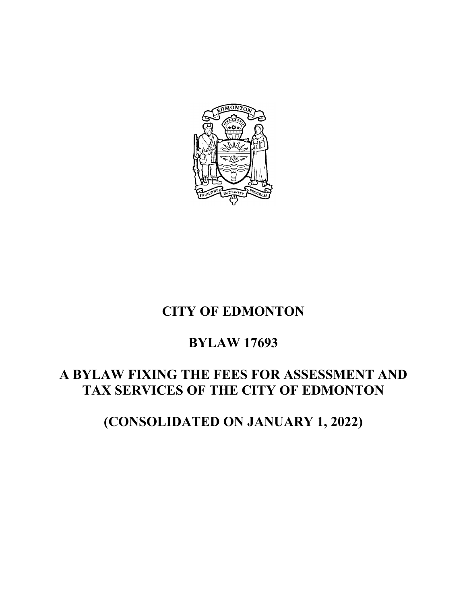

# **CITY OF EDMONTON**

# **BYLAW 17693**

# **A BYLAW FIXING THE FEES FOR ASSESSMENT AND TAX SERVICES OF THE CITY OF EDMONTON**

**(CONSOLIDATED ON JANUARY 1, 2022)**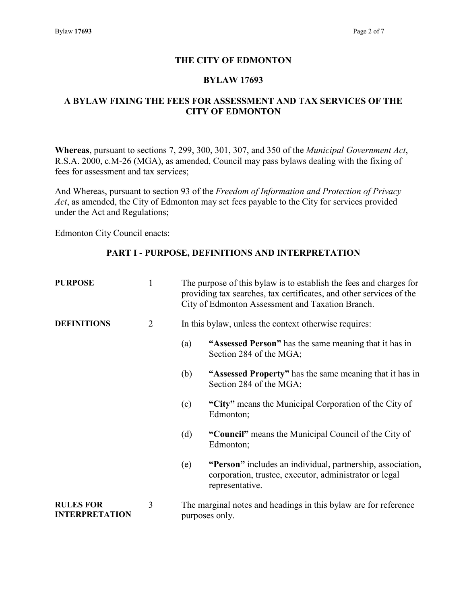#### **THE CITY OF EDMONTON**

#### **BYLAW 17693**

#### **A BYLAW FIXING THE FEES FOR ASSESSMENT AND TAX SERVICES OF THE CITY OF EDMONTON**

**Whereas**, pursuant to sections 7, 299, 300, 301, 307, and 350 of the *Municipal Government Act*, R.S.A. 2000, c.M-26 (MGA), as amended, Council may pass bylaws dealing with the fixing of fees for assessment and tax services;

And Whereas, pursuant to section 93 of the *Freedom of Information and Protection of Privacy Act*, as amended, the City of Edmonton may set fees payable to the City for services provided under the Act and Regulations;

Edmonton City Council enacts:

#### **PART I - PURPOSE, DEFINITIONS AND INTERPRETATION**

| <b>PURPOSE</b>                            | 1 | The purpose of this bylaw is to establish the fees and charges for<br>providing tax searches, tax certificates, and other services of the<br>City of Edmonton Assessment and Taxation Branch. |                                                                                                                                         |
|-------------------------------------------|---|-----------------------------------------------------------------------------------------------------------------------------------------------------------------------------------------------|-----------------------------------------------------------------------------------------------------------------------------------------|
| <b>DEFINITIONS</b>                        | 2 | In this bylaw, unless the context otherwise requires:                                                                                                                                         |                                                                                                                                         |
|                                           |   | (a)                                                                                                                                                                                           | "Assessed Person" has the same meaning that it has in<br>Section 284 of the MGA;                                                        |
|                                           |   | (b)                                                                                                                                                                                           | "Assessed Property" has the same meaning that it has in<br>Section 284 of the MGA;                                                      |
|                                           |   | (c)                                                                                                                                                                                           | "City" means the Municipal Corporation of the City of<br>Edmonton;                                                                      |
|                                           |   | (d)                                                                                                                                                                                           | "Council" means the Municipal Council of the City of<br>Edmonton;                                                                       |
|                                           |   | (e)                                                                                                                                                                                           | "Person" includes an individual, partnership, association,<br>corporation, trustee, executor, administrator or legal<br>representative. |
| <b>RULES FOR</b><br><b>INTERPRETATION</b> | 3 |                                                                                                                                                                                               | The marginal notes and headings in this bylaw are for reference<br>purposes only.                                                       |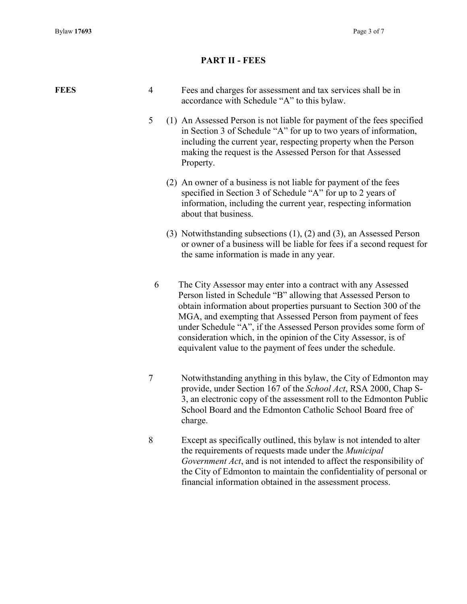### **PART II - FEES**

| <b>FEES</b> | $\overline{4}$ | Fees and charges for assessment and tax services shall be in<br>accordance with Schedule "A" to this bylaw.                                                                                                                                                                                                                                                                                                                                                                 |
|-------------|----------------|-----------------------------------------------------------------------------------------------------------------------------------------------------------------------------------------------------------------------------------------------------------------------------------------------------------------------------------------------------------------------------------------------------------------------------------------------------------------------------|
|             | 5              | (1) An Assessed Person is not liable for payment of the fees specified<br>in Section 3 of Schedule "A" for up to two years of information,<br>including the current year, respecting property when the Person<br>making the request is the Assessed Person for that Assessed<br>Property.                                                                                                                                                                                   |
|             |                | (2) An owner of a business is not liable for payment of the fees<br>specified in Section 3 of Schedule "A" for up to 2 years of<br>information, including the current year, respecting information<br>about that business.                                                                                                                                                                                                                                                  |
|             |                | (3) Notwithstanding subsections $(1)$ , $(2)$ and $(3)$ , an Assessed Person<br>or owner of a business will be liable for fees if a second request for<br>the same information is made in any year.                                                                                                                                                                                                                                                                         |
|             | 6              | The City Assessor may enter into a contract with any Assessed<br>Person listed in Schedule "B" allowing that Assessed Person to<br>obtain information about properties pursuant to Section 300 of the<br>MGA, and exempting that Assessed Person from payment of fees<br>under Schedule "A", if the Assessed Person provides some form of<br>consideration which, in the opinion of the City Assessor, is of<br>equivalent value to the payment of fees under the schedule. |
|             | $\tau$         | Notwithstanding anything in this bylaw, the City of Edmonton may<br>provide, under Section 167 of the School Act, RSA 2000, Chap S-<br>3, an electronic copy of the assessment roll to the Edmonton Public<br>School Board and the Edmonton Catholic School Board free of<br>charge.                                                                                                                                                                                        |
|             | 8              | Except as specifically outlined, this bylaw is not intended to alter<br>the requirements of requests made under the Municipal<br>Government Act, and is not intended to affect the responsibility of<br>the City of Edmonton to maintain the confidentiality of personal or<br>financial information obtained in the assessment process.                                                                                                                                    |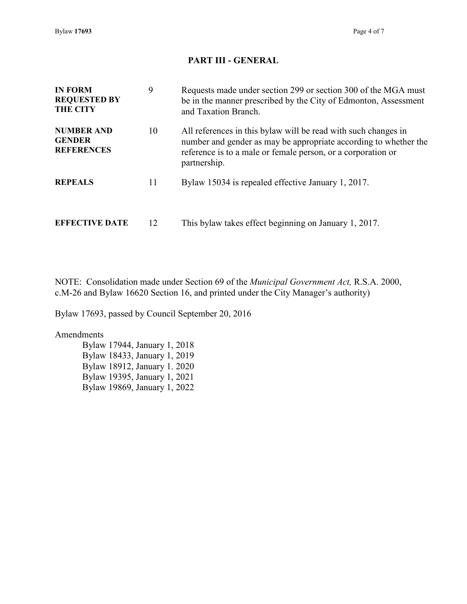Bylaw **17693** Page 4 of 7

### **PART III - GENERAL**

| <b>IN FORM</b><br><b>REQUESTED BY</b><br><b>THE CITY</b> | 9  | Requests made under section 299 or section 300 of the MGA must<br>be in the manner prescribed by the City of Edmonton, Assessment<br>and Taxation Branch.                                                          |
|----------------------------------------------------------|----|--------------------------------------------------------------------------------------------------------------------------------------------------------------------------------------------------------------------|
| <b>NUMBER AND</b><br><b>GENDER</b><br><b>REFERENCES</b>  | 10 | All references in this bylaw will be read with such changes in<br>number and gender as may be appropriate according to whether the<br>reference is to a male or female person, or a corporation or<br>partnership. |
| <b>REPEALS</b>                                           | 11 | Bylaw 15034 is repealed effective January 1, 2017.                                                                                                                                                                 |
| <b>EFFECTIVE DATE</b>                                    | 12 | This bylaw takes effect beginning on January 1, 2017.                                                                                                                                                              |

NOTE: Consolidation made under Section 69 of the *Municipal Government Act,* R.S.A. 2000, c.M-26 and Bylaw 16620 Section 16, and printed under the City Manager's authority)

Bylaw 17693, passed by Council September 20, 2016

#### Amendments

Bylaw 17944, January 1, 2018 Bylaw 18433, January 1, 2019 Bylaw 18912, January 1. 2020 Bylaw 19395, January 1, 2021 Bylaw 19869, January 1, 2022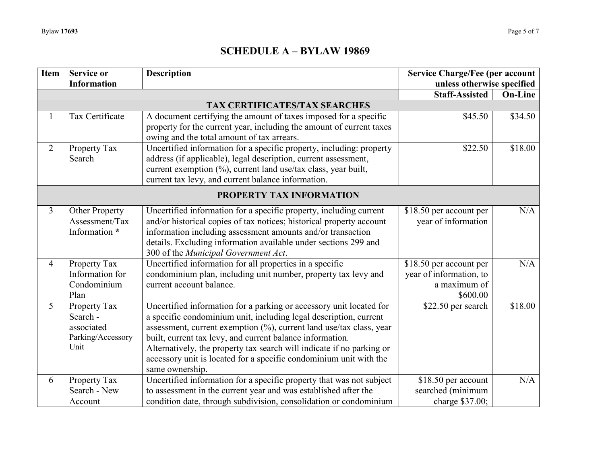### **SCHEDULE A – BYLAW 19869**

| Item           | <b>Service or</b>        | <b>Description</b>                                                    | <b>Service Charge/Fee (per account</b> |                |  |  |
|----------------|--------------------------|-----------------------------------------------------------------------|----------------------------------------|----------------|--|--|
|                | <b>Information</b>       |                                                                       | unless otherwise specified             |                |  |  |
|                |                          |                                                                       | Staff-Assisted                         | <b>On-Line</b> |  |  |
|                |                          | TAX CERTIFICATES/TAX SEARCHES                                         |                                        |                |  |  |
| 1              | Tax Certificate          | A document certifying the amount of taxes imposed for a specific      | \$45.50                                | \$34.50        |  |  |
|                |                          | property for the current year, including the amount of current taxes  |                                        |                |  |  |
|                |                          | owing and the total amount of tax arrears.                            |                                        |                |  |  |
| 2              | Property Tax             | Uncertified information for a specific property, including: property  | \$22.50                                | \$18.00        |  |  |
|                | Search                   | address (if applicable), legal description, current assessment,       |                                        |                |  |  |
|                |                          | current exemption (%), current land use/tax class, year built,        |                                        |                |  |  |
|                |                          | current tax levy, and current balance information.                    |                                        |                |  |  |
|                | PROPERTY TAX INFORMATION |                                                                       |                                        |                |  |  |
| 3              | Other Property           | Uncertified information for a specific property, including current    | \$18.50 per account per                | N/A            |  |  |
|                | Assessment/Tax           | and/or historical copies of tax notices; historical property account  | year of information                    |                |  |  |
|                | Information *            | information including assessment amounts and/or transaction           |                                        |                |  |  |
|                |                          | details. Excluding information available under sections 299 and       |                                        |                |  |  |
|                |                          | 300 of the Municipal Government Act.                                  |                                        |                |  |  |
| $\overline{4}$ | Property Tax             | Uncertified information for all properties in a specific              | \$18.50 per account per                | N/A            |  |  |
|                | Information for          | condominium plan, including unit number, property tax levy and        | year of information, to                |                |  |  |
|                | Condominium              | current account balance.                                              | a maximum of                           |                |  |  |
|                | Plan                     |                                                                       | \$600.00                               |                |  |  |
| 5              | Property Tax             | Uncertified information for a parking or accessory unit located for   | \$22.50 per search                     | \$18.00        |  |  |
|                | Search -                 | a specific condominium unit, including legal description, current     |                                        |                |  |  |
|                | associated               | assessment, current exemption (%), current land use/tax class, year   |                                        |                |  |  |
|                | Parking/Accessory        | built, current tax levy, and current balance information.             |                                        |                |  |  |
|                | Unit                     | Alternatively, the property tax search will indicate if no parking or |                                        |                |  |  |
|                |                          | accessory unit is located for a specific condominium unit with the    |                                        |                |  |  |
|                |                          | same ownership.                                                       |                                        |                |  |  |
| 6              | Property Tax             | Uncertified information for a specific property that was not subject  | \$18.50 per account                    | N/A            |  |  |
|                | Search - New             | to assessment in the current year and was established after the       | searched (minimum                      |                |  |  |
|                | Account                  | condition date, through subdivision, consolidation or condominium     | charge \$37.00;                        |                |  |  |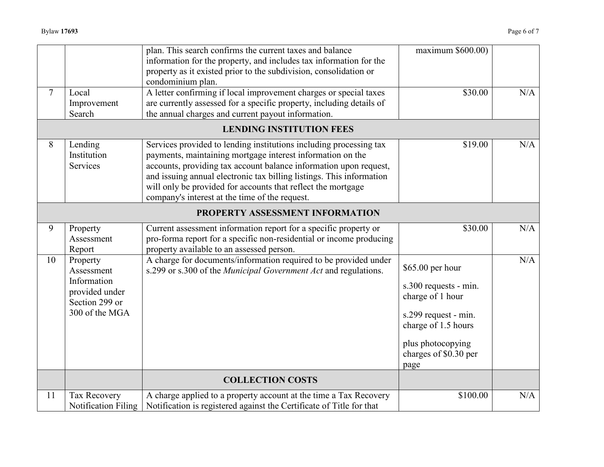|        |                            | plan. This search confirms the current taxes and balance                                                                                | maximum \$600.00)     |     |
|--------|----------------------------|-----------------------------------------------------------------------------------------------------------------------------------------|-----------------------|-----|
|        |                            | information for the property, and includes tax information for the<br>property as it existed prior to the subdivision, consolidation or |                       |     |
|        |                            | condominium plan.                                                                                                                       |                       |     |
| $\tau$ | Local                      | A letter confirming if local improvement charges or special taxes                                                                       | \$30.00               | N/A |
|        | Improvement                | are currently assessed for a specific property, including details of                                                                    |                       |     |
|        | Search                     | the annual charges and current payout information.                                                                                      |                       |     |
|        |                            | <b>LENDING INSTITUTION FEES</b>                                                                                                         |                       |     |
| 8      | Lending                    | Services provided to lending institutions including processing tax                                                                      | \$19.00               | N/A |
|        | Institution                | payments, maintaining mortgage interest information on the                                                                              |                       |     |
|        | Services                   | accounts, providing tax account balance information upon request,                                                                       |                       |     |
|        |                            | and issuing annual electronic tax billing listings. This information                                                                    |                       |     |
|        |                            | will only be provided for accounts that reflect the mortgage                                                                            |                       |     |
|        |                            | company's interest at the time of the request.                                                                                          |                       |     |
|        |                            |                                                                                                                                         |                       |     |
|        |                            | PROPERTY ASSESSMENT INFORMATION                                                                                                         |                       |     |
| 9      | Property                   | Current assessment information report for a specific property or                                                                        | \$30.00               | N/A |
|        | Assessment                 | pro-forma report for a specific non-residential or income producing                                                                     |                       |     |
|        | Report                     | property available to an assessed person.                                                                                               |                       |     |
| 10     | Property                   | A charge for documents/information required to be provided under                                                                        |                       | N/A |
|        | Assessment                 | s.299 or s.300 of the Municipal Government Act and regulations.                                                                         | \$65.00 per hour      |     |
|        | Information                |                                                                                                                                         | s.300 requests - min. |     |
|        | provided under             |                                                                                                                                         | charge of 1 hour      |     |
|        | Section 299 or             |                                                                                                                                         |                       |     |
|        | 300 of the MGA             |                                                                                                                                         | s.299 request - min.  |     |
|        |                            |                                                                                                                                         | charge of 1.5 hours   |     |
|        |                            |                                                                                                                                         |                       |     |
|        |                            |                                                                                                                                         | plus photocopying     |     |
|        |                            |                                                                                                                                         | charges of \$0.30 per |     |
|        |                            |                                                                                                                                         | page                  |     |
|        |                            | <b>COLLECTION COSTS</b>                                                                                                                 |                       |     |
| 11     | Tax Recovery               | A charge applied to a property account at the time a Tax Recovery                                                                       | \$100.00              | N/A |
|        | <b>Notification Filing</b> | Notification is registered against the Certificate of Title for that                                                                    |                       |     |